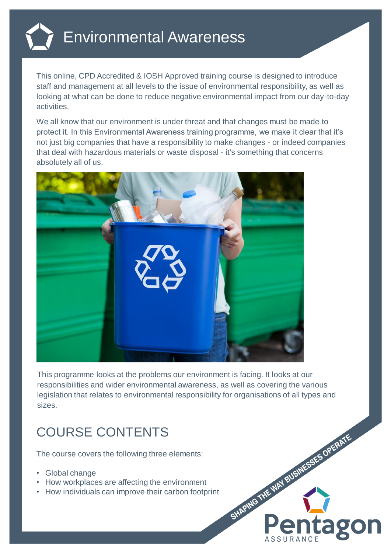

This online, CPD Accredited & IOSH Approved training course is designed to introduce staff and management at all levels to the issue of environmental responsibility, as well as looking at what can be done to reduce negative environmental impact from our day-to-day activities.

We all know that our environment is under threat and that changes must be made to protect it. In this Environmental Awareness training programme, we make it clear that it's not just big companies that have a responsibility to make changes - or indeed companies that deal with hazardous materials or waste disposal - it's something that concerns absolutely all of us.



This programme looks at the problems our environment is facing. It looks at our responsibilities and wider environmental awareness, as well as covering the various legislation that relates to environmental responsibility for organisations of all types and sizes.

SHAPING THE MAY BUSINESSES OPERATE

**ago** 

## COURSE CONTENTS

The course covers the following three elements:

- Global change
- How workplaces are affecting the environment
- How individuals can improve their carbon footprint